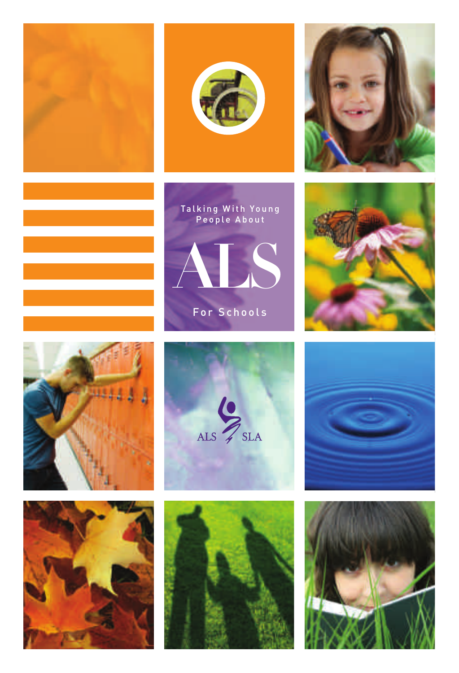



















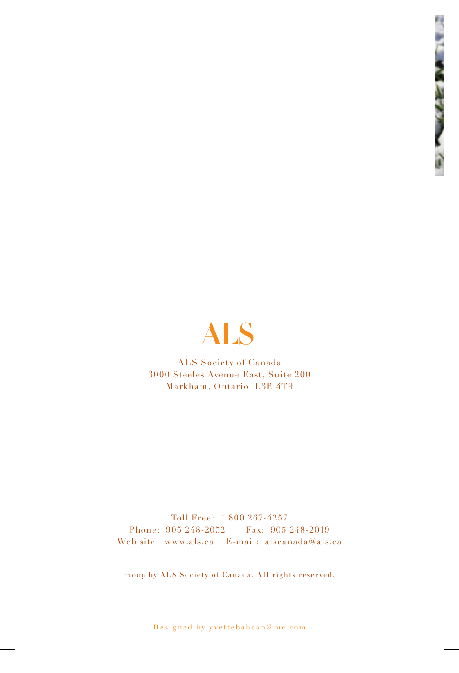

ALS Society of Canada 3000 Steeles Avenue East, Suite 200 Markham, Ontario L3R 4T9

Toll Free: 1 800 267-4257 Phone: 905 248-2052 Fax: 905 248-2019 Web site: www.als.ca E-mail: alscanada@als.ca

©2009 by ALS Society of Canada. All rights reserved.

Designed by yvettebabcan@me.com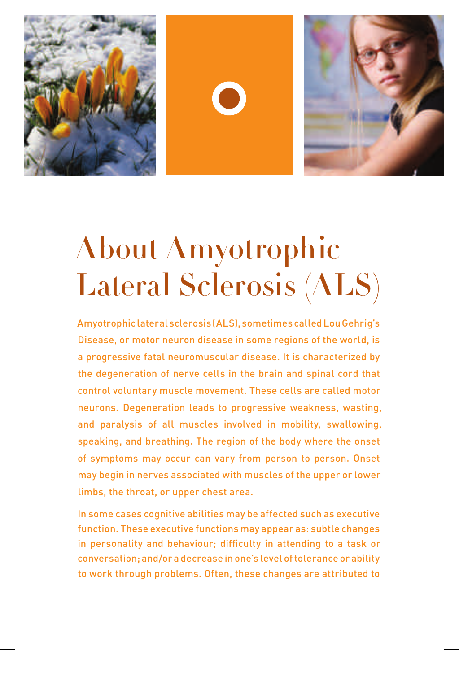





## About Amyotrophic Lateral Sclerosis (ALS)

Amyotrophic lateral sclerosis (ALS), sometimes called Lou Gehrig's Disease, or motor neuron disease in some regions of the world, is a progressive fatal neuromuscular disease. It is characterized by the degeneration of nerve cells in the brain and spinal cord that control voluntary muscle movement. These cells are called motor neurons. Degeneration leads to progressive weakness, wasting, and paralysis of all muscles involved in mobility, swallowing, speaking, and breathing. The region of the body where the onset of symptoms may occur can vary from person to person. Onset may begin in nerves associated with muscles of the upper or lower limbs, the throat, or upper chest area.

In some cases cognitive abilities may be affected such as executive function. These executive functions may appear as: subtle changes in personality and behaviour; difficulty in attending to a task or conversation; and/or a decrease in one's level of tolerance or ability to work through problems. Often, these changes are attributed to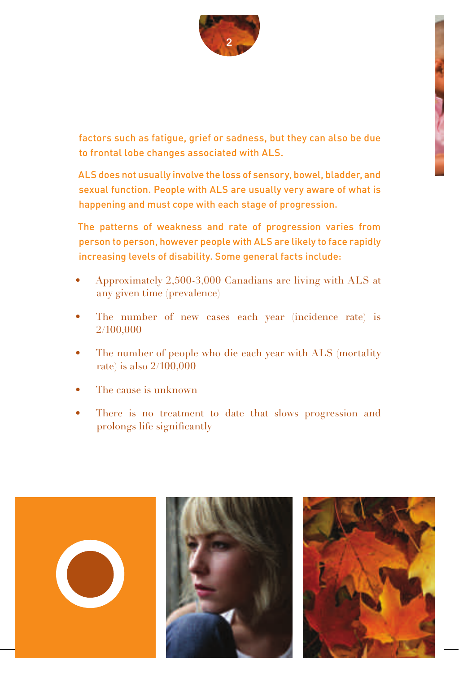

factors such as fatigue, grief or sadness, but they can also be due to frontal lobe changes associated with ALS.

ALS does not usually involve the loss of sensory, bowel, bladder, and sexual function. People with ALS are usually very aware of what is happening and must cope with each stage of progression.

The patterns of weakness and rate of progression varies from person to person, however people with ALS are likely to face rapidly increasing levels of disability. Some general facts include:

- Approximately 2,500-3,000 Canadians are living with ALS at any given time (prevalence)
- The number of new cases each year (incidence rate) is 2/100,000
- The number of people who die each year with ALS (mortality rate) is also 2/100,000
- The cause is unknown
- There is no treatment to date that slows progression and prolongs life significantly





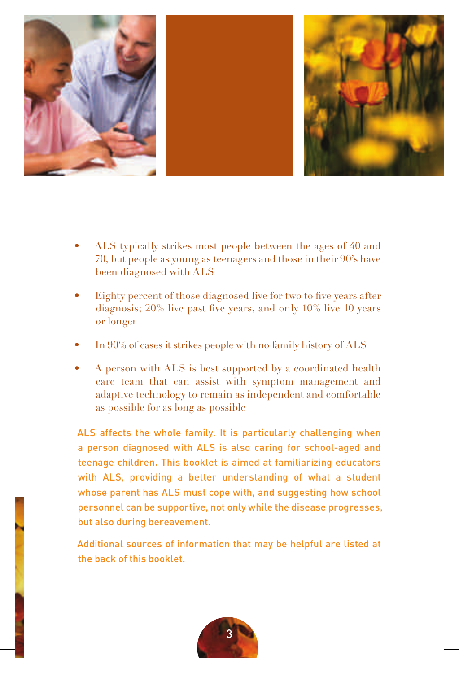

- ALS typically strikes most people between the ages of 40 and 70, but people as young as teenagers and those in their 90's have been diagnosed with ALS
- Eighty percent of those diagnosed live for two to five years after diagnosis; 20% live past five years, and only 10% live 10 years or longer
- In 90% of cases it strikes people with no family history of ALS
- A person with ALS is best supported by a coordinated health care team that can assist with symptom management and adaptive technology to remain as independent and comfortable as possible for as long as possible

ALS affects the whole family. It is particularly challenging when a person diagnosed with ALS is also caring for school-aged and teenage children. This booklet is aimed at familiarizing educators with ALS, providing a better understanding of what a student whose parent has ALS must cope with, and suggesting how school personnel can be supportive, not only while the disease progresses, but also during bereavement.

Additional sources of information that may be helpful are listed at the back of this booklet.

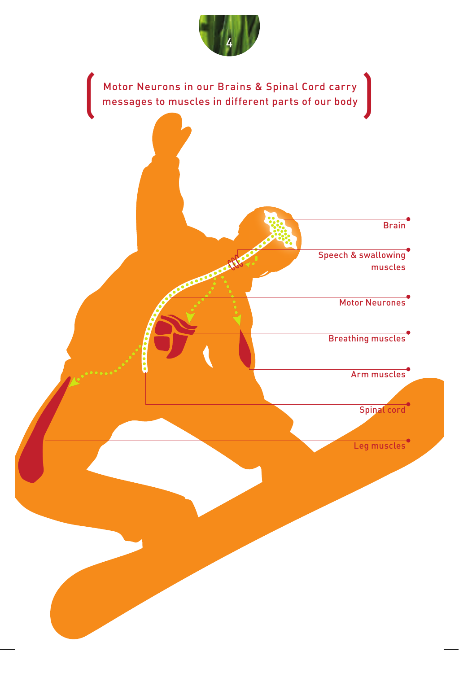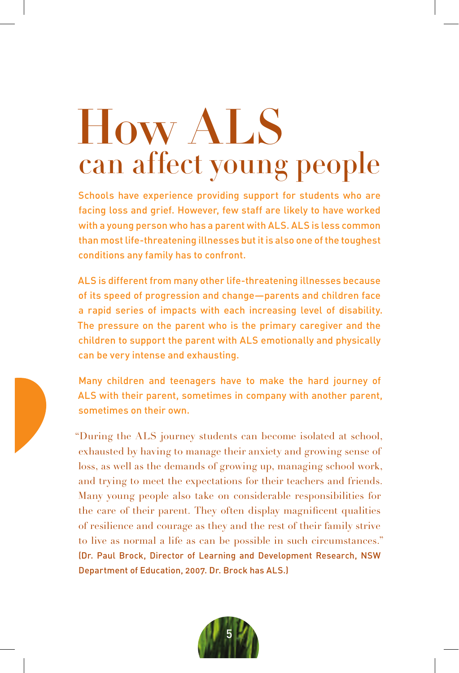# How ALS can affect young people

Schools have experience providing support for students who are facing loss and grief. However, few staff are likely to have worked with a young person who has a parent with ALS. ALS is less common than most life-threatening illnesses but it is also one of the toughest conditions any family has to confront.

ALS is different from many other life-threatening illnesses because of its speed of progression and change—parents and children face a rapid series of impacts with each increasing level of disability. The pressure on the parent who is the primary caregiver and the children to support the parent with ALS emotionally and physically can be very intense and exhausting.

Many children and teenagers have to make the hard journey of ALS with their parent, sometimes in company with another parent, sometimes on their own.

"During the ALS journey students can become isolated at school, exhausted by having to manage their anxiety and growing sense of loss, as well as the demands of growing up, managing school work, and trying to meet the expectations for their teachers and friends. Many young people also take on considerable responsibilities for the care of their parent. They often display magnificent qualities of resilience and courage as they and the rest of their family strive to live as normal a life as can be possible in such circumstances." (Dr. Paul Brock, Director of Learning and Development Research, NSW Department of Education, 2007. Dr. Brock has ALS.)

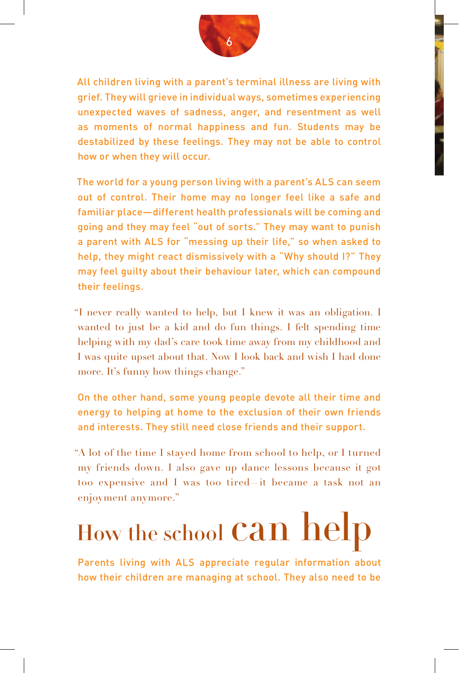

All children living with a parent's terminal illness are living with grief. They will grieve in individual ways, sometimes experiencing unexpected waves of sadness, anger, and resentment as well as moments of normal happiness and fun. Students may be destabilized by these feelings. They may not be able to control how or when they will occur.

The world for a young person living with a parent's ALS can seem out of control. Their home may no longer feel like a safe and familiar place—different health professionals will be coming and going and they may feel "out of sorts." They may want to punish a parent with ALS for "messing up their life," so when asked to help, they might react dismissively with a "Why should I?" They may feel guilty about their behaviour later, which can compound their feelings.

"I never really wanted to help, but I knew it was an obligation. I wanted to just be a kid and do fun things. I felt spending time helping with my dad's care took time away from my childhood and I was quite upset about that. Now I look back and wish I had done more. It's funny how things change."

On the other hand, some young people devote all their time and energy to helping at home to the exclusion of their own friends and interests. They still need close friends and their support.

"A lot of the time I stayed home from school to help, or I turned my friends down. I also gave up dance lessons because it got too expensive and I was too tired—it became a task not an enjoyment anymore."

# How the school Can help

Parents living with ALS appreciate regular information about how their children are managing at school. They also need to be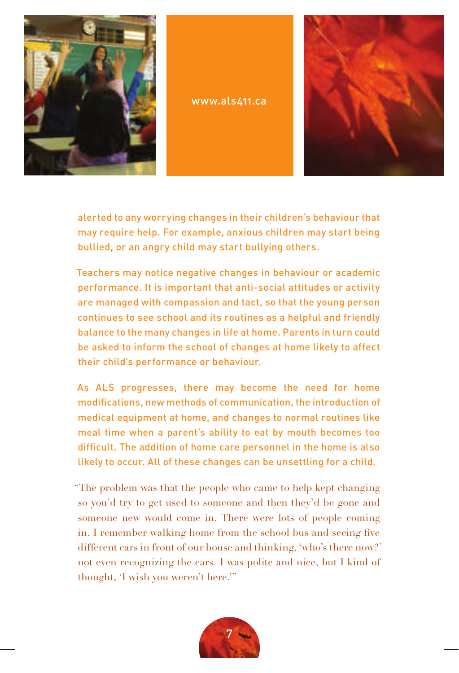

www.als411.ca



alerted to any worrying changes in their children's behaviour that may require help. For example, anxious children may start being bullied, or an angry child may start bullying others.

Teachers may notice negative changes in behaviour or academic performance. It is important that anti-social attitudes or activity are managed with compassion and tact, so that the young person continues to see school and its routines as a helpful and friendly balance to the many changes in life at home. Parents in turn could be asked to inform the school of changes at home likely to affect their child's performance or behaviour.

As ALS progresses, there may become the need for home modifications, new methods of communication, the introduction of medical equipment at home, and changes to normal routines like meal time when a parent's ability to eat by mouth becomes too difficult. The addition of home care personnel in the home is also likely to occur. All of these changes can be unsettling for a child.

"The problem was that the people who came to help kept changing so you'd try to get used to someone and then they'd be gone and someone new would come in. There were lots of people coming in. I remember walking home from the school bus and seeing five different cars in front of our house and thinking, 'who's there now?' not even recognizing the cars. I was polite and nice, but I kind of thought, 'I wish you weren't here.'"

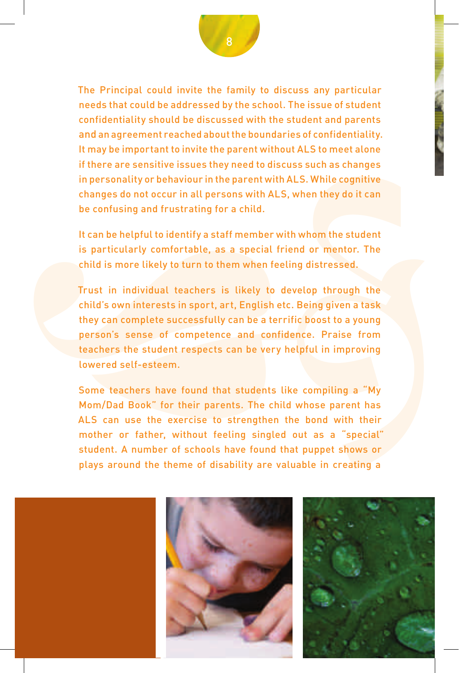confidentiality should be discussed with the student and parents<br>and an agreement reached about the buondraires of confidentiality.<br>It may be important to invite the parent without ALS to meet alone<br>if there are sensitive The Principal could invite the family to discuss any particular needs that could be addressed by the school. The issue of student confidentiality should be discussed with the student and parents and an agreement reached about the boundaries of confidentiality. It may be important to invite the parent without ALS to meet alone if there are sensitive issues they need to discuss such as changes in personality or behaviour in the parent with ALS. While cognitive changes do not occur in all persons with ALS, when they do it can be confusing and frustrating for a child.

It can be helpful to identify a staff member with whom the student is particularly comfortable, as a special friend or mentor. The child is more likely to turn to them when feeling distressed.

Trust in individual teachers is likely to develop through the child's own interests in sport, art, English etc. Being given a task they can complete successfully can be a terrific boost to a young person's sense of competence and confidence. Praise from teachers the student respects can be very helpful in improving lowered self-esteem.

Some teachers have found that students like compiling a "My Mom/Dad Book" for their parents. The child whose parent has ALS can use the exercise to strengthen the bond with their mother or father, without feeling singled out as a "special" student. A number of schools have found that puppet shows or plays around the theme of disability are valuable in creating a





8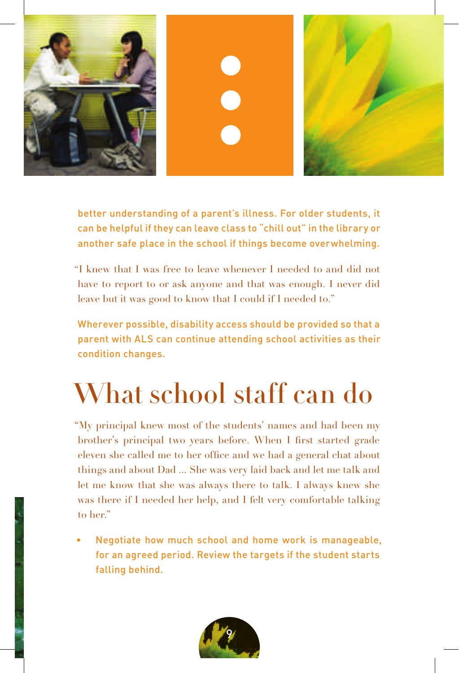

better understanding of a parent's illness. For older students, it can be helpful if they can leave class to "chill out" in the library or another safe place in the school if things become overwhelming.

"I knew that I was free to leave whenever I needed to and did not have to report to or ask anyone and that was enough. I never did leave but it was good to know that I could if I needed to."

Wherever possible, disability access should be provided so that a parent with ALS can continue attending school activities as their condition changes.

### What school staff can do

"My principal knew most of the students' names and had been my brother's principal two years before. When I first started grade eleven she called me to her office and we had a general chat about things and about Dad ... She was very laid back and let me talk and let me know that she was always there to talk. I always knew she was there if I needed her help, and I felt very comfortable talking to her."

• Negotiate how much school and home work is manageable, for an agreed period. Review the targets if the student starts falling behind.

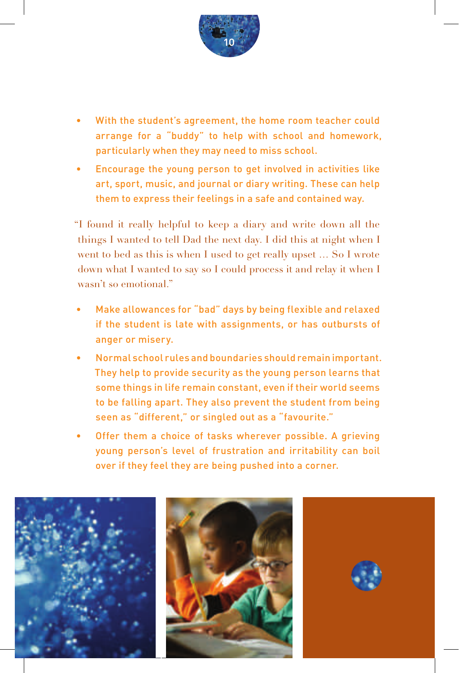

- With the student's agreement, the home room teacher could arrange for a "buddy" to help with school and homework, particularly when they may need to miss school.
- Encourage the young person to get involved in activities like art, sport, music, and journal or diary writing. These can help them to express their feelings in a safe and contained way.

"I found it really helpful to keep a diary and write down all the things I wanted to tell Dad the next day. I did this at night when I went to bed as this is when I used to get really upset … So I wrote down what I wanted to say so I could process it and relay it when I wasn't so emotional."

- Make allowances for "bad" days by being flexible and relaxed if the student is late with assignments, or has outbursts of anger or misery.
- Normal school rules and boundaries should remain important. They help to provide security as the young person learns that some things in life remain constant, even if their world seems to be falling apart. They also prevent the student from being seen as "different," or singled out as a "favourite."
- Offer them a choice of tasks wherever possible. A grieving young person's level of frustration and irritability can boil over if they feel they are being pushed into a corner.

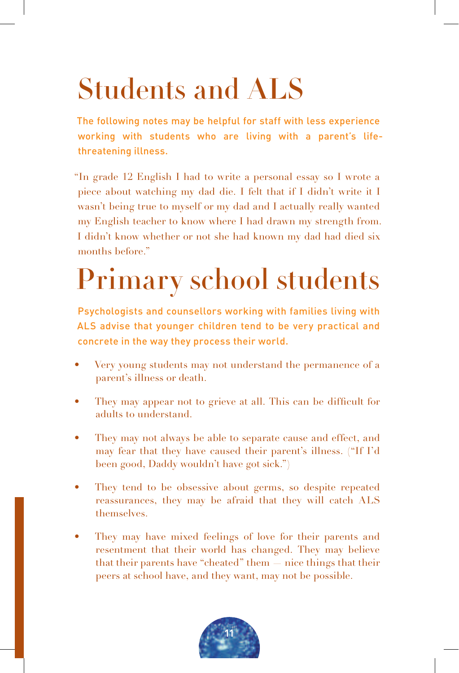## Students and ALS

The following notes may be helpful for staff with less experience working with students who are living with a parent's lifethreatening illness.

"In grade 12 English I had to write a personal essay so I wrote a piece about watching my dad die. I felt that if I didn't write it I wasn't being true to myself or my dad and I actually really wanted my English teacher to know where I had drawn my strength from. I didn't know whether or not she had known my dad had died six months before."

## Primary school students

Psychologists and counsellors working with families living with ALS advise that younger children tend to be very practical and concrete in the way they process their world.

- Very young students may not understand the permanence of a parent's illness or death.
- They may appear not to grieve at all. This can be difficult for adults to understand.
- They may not always be able to separate cause and effect, and may fear that they have caused their parent's illness. ("If I'd been good, Daddy wouldn't have got sick.")
- They tend to be obsessive about germs, so despite repeated reassurances, they may be afraid that they will catch ALS themselves.
- They may have mixed feelings of love for their parents and resentment that their world has changed. They may believe that their parents have "cheated" them — nice things that their peers at school have, and they want, may not be possible.

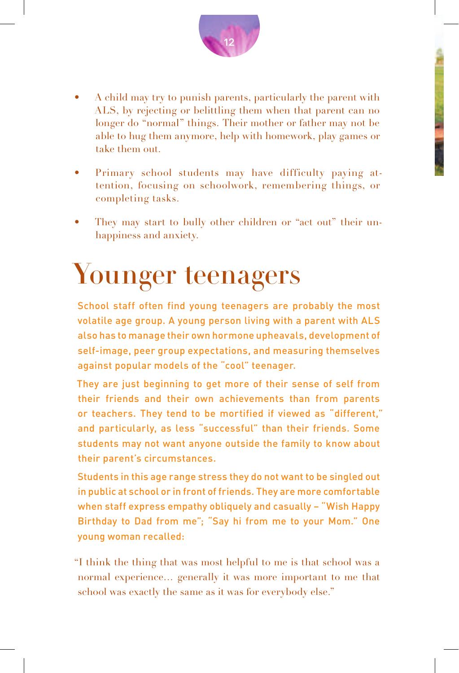

- Primary school students may have difficulty paying attention, focusing on schoolwork, remembering things, or completing tasks.
- They may start to bully other children or "act out" their unhappiness and anxiety.

### Younger teenagers

School staff often find young teenagers are probably the most volatile age group. A young person living with a parent with ALS also has to manage their own hormone upheavals, development of self-image, peer group expectations, and measuring themselves against popular models of the "cool" teenager.

They are just beginning to get more of their sense of self from their friends and their own achievements than from parents or teachers. They tend to be mortified if viewed as "different," and particularly, as less "successful" than their friends. Some students may not want anyone outside the family to know about their parent's circumstances.

Students in this age range stress they do not want to be singled out in public at school or in front of friends. They are more comfortable when staff express empathy obliquely and casually – "Wish Happy Birthday to Dad from me"; "Say hi from me to your Mom." One young woman recalled:

"I think the thing that was most helpful to me is that school was a normal experience… generally it was more important to me that school was exactly the same as it was for everybody else."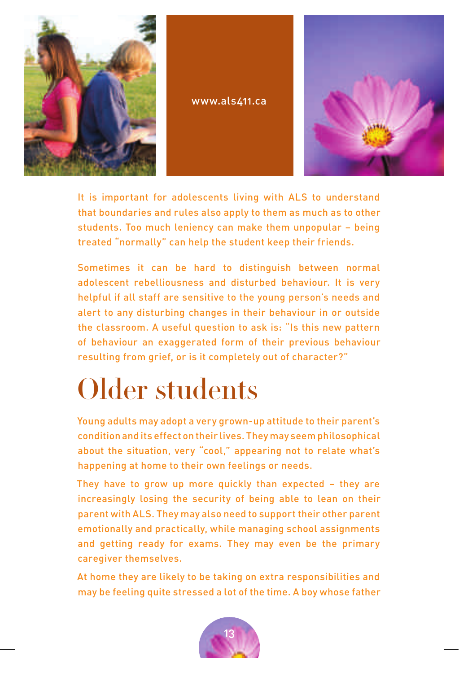

www.als411.ca



It is important for adolescents living with ALS to understand that boundaries and rules also apply to them as much as to other students. Too much leniency can make them unpopular – being treated "normally" can help the student keep their friends.

Sometimes it can be hard to distinguish between normal adolescent rebelliousness and disturbed behaviour. It is very helpful if all staff are sensitive to the young person's needs and alert to any disturbing changes in their behaviour in or outside the classroom. A useful question to ask is: "Is this new pattern of behaviour an exaggerated form of their previous behaviour resulting from grief, or is it completely out of character?"

## Older students

Young adults may adopt a very grown-up attitude to their parent's condition and its effect on their lives. They may seem philosophical about the situation, very "cool," appearing not to relate what's happening at home to their own feelings or needs.

They have to grow up more quickly than expected – they are increasingly losing the security of being able to lean on their parent with ALS. They may also need to support their other parent emotionally and practically, while managing school assignments and getting ready for exams. They may even be the primary caregiver themselves.

At home they are likely to be taking on extra responsibilities and may be feeling quite stressed a lot of the time. A boy whose father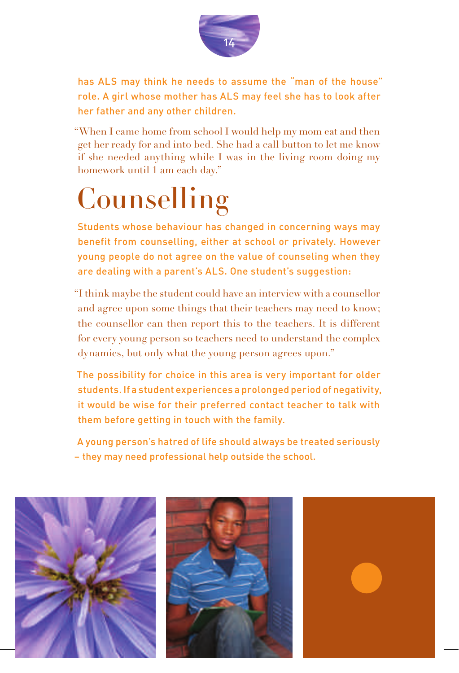

has ALS may think he needs to assume the "man of the house" role. A girl whose mother has ALS may feel she has to look after her father and any other children.

"When I came home from school I would help my mom eat and then get her ready for and into bed. She had a call button to let me know if she needed anything while I was in the living room doing my homework until 1 am each day."

## **Counselling**

Students whose behaviour has changed in concerning ways may benefit from counselling, either at school or privately. However young people do not agree on the value of counseling when they are dealing with a parent's ALS. One student's suggestion:

"I think maybe the student could have an interview with a counsellor and agree upon some things that their teachers may need to know; the counsellor can then report this to the teachers. It is different for every young person so teachers need to understand the complex dynamics, but only what the young person agrees upon."

The possibility for choice in this area is very important for older students. If a student experiences a prolonged period of negativity, it would be wise for their preferred contact teacher to talk with them before getting in touch with the family.

A young person's hatred of life should always be treated seriously – they may need professional help outside the school.

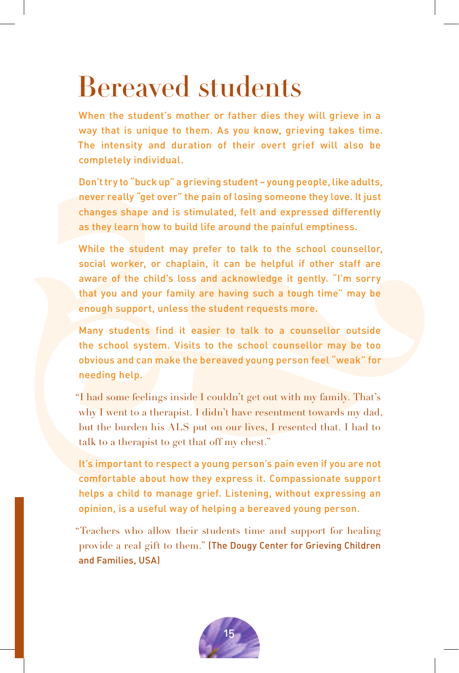### Bereaved students

When the student's mother or father dies they will grieve in a way that is unique to them. As you know, grieving takes time. The intensity and duration of their overt grief will also be completely individual.

Don't try to "buck up" a grieving student – young people, like adults, never really "get over" the pain of losing someone they love. It just changes shape and is stimulated, felt and expressed differently as they learn how to build life around the painful emptiness.

in the intensity and duration of their overt grief will also be<br>The intensity and duration of their overt grief will also be<br>completely individual.<br>Don't try to "buck up" a grieving student -young people, like adults,<br>neve While the student may prefer to talk to the school counsellor, social worker, or chaplain, it can be helpful if other staff are aware of the child's loss and acknowledge it gently. "I'm sorry that you and your family are having such a tough time" may be enough support, unless the student requests more.

Many students find it easier to talk to a counsellor outside the school system. Visits to the school counsellor may be too obvious and can make the bereaved young person feel "weak" for needing help.

"I had some feelings inside I couldn't get out with my family. That's why I went to a therapist. I didn't have resentment towards my dad, but the burden his ALS put on our lives, I resented that. I had to talk to a therapist to get that off my chest."

It's important to respect a young person's pain even if you are not comfortable about how they express it. Compassionate support helps a child to manage grief. Listening, without expressing an opinion, is a useful way of helping a bereaved young person.

"Teachers who allow their students time and support for healing provide a real gift to them." (The Dougy Center for Grieving Children and Families, USA)

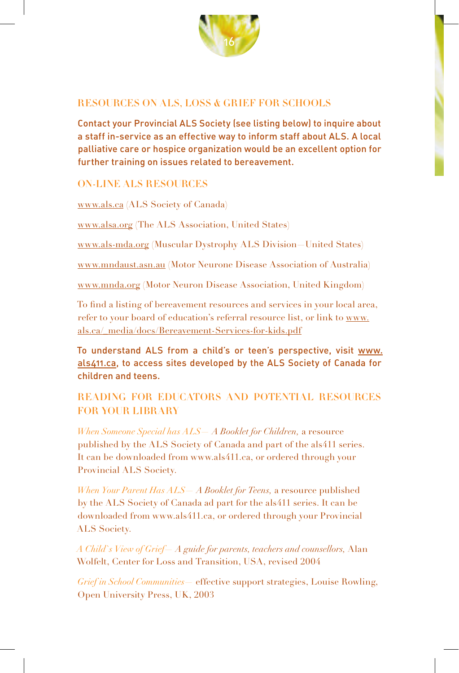

#### ReSOuRCeS On ALS, LOSS & gRief fOR SCHOOLS

Contact your Provincial ALS Society (see listing below) to inquire about a staff in-service as an effective way to inform staff about ALS. A local palliative care or hospice organization would be an excellent option for further training on issues related to bereavement.

#### On-Line ALS ReSOuRCeS

www.als.ca (ALS Society of Canada)

www.alsa.org (The ALS Association, United States)

www.als-mda.org (Muscular Dystrophy ALS Division—United States)

www.mndaust.asn.au (Motor Neurone Disease Association of Australia)

www.mnda.org (Motor Neuron Disease Association, United Kingdom)

To find a listing of bereavement resources and services in your local area, refer to your board of education's referral resource list, or link to www. als.ca/\_media/docs/Bereavement-Services-for-kids.pdf

To understand ALS from a child's or teen's perspective, visit www. als411.ca, to access sites developed by the ALS Society of Canada for children and teens.

### ReAding fOR eduCAtORS And POtentiAL ReSOuRCeS FOR YOUR LIBRARY

*When Someone Special has ALS— A Booklet for Children,* a resource published by the ALS Society of Canada and part of the als411 series. It can be downloaded from www.als411.ca, or ordered through your Provincial ALS Society.

*When Your Parent Has ALS— A Booklet for Teens,* a resource published by the ALS Society of Canada ad part for the als411 series. It can be downloaded from www.als411.ca, or ordered through your Provincial ALS Society.

*A Child`s View of Grief— A guide for parents, teachers and counsellors,* Alan Wolfelt, Center for Loss and Transition, USA, revised 2004

*Grief in School Communities*— effective support strategies, Louise Rowling, Open University Press, UK, 2003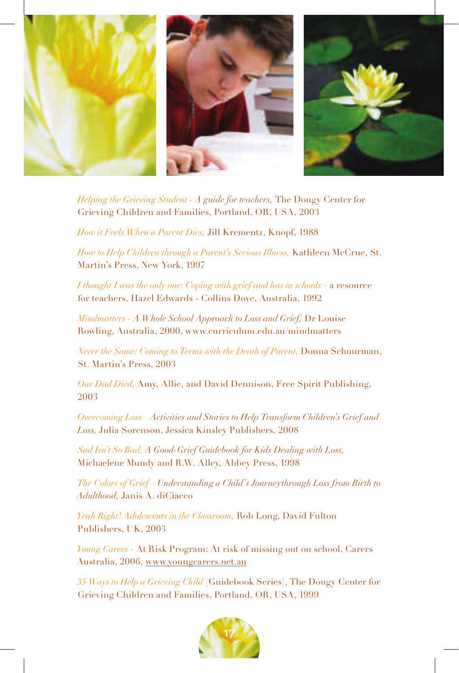

*Helping the Grieving Student - A guide for teachers,* The Dougy Center for Grieving Children and Families, Portland, OR, USA, 2003

*How it Feels When a Parent Dies,* Jill Krementz, Knopf, 1988

*How to Help Children through a Parent's Serious Illness,* Kathleen McCrue, St. Martin's Press, New York, 1997

*I thought I was the only one: Coping with grief and loss in schools* - a resource for teachers, Hazel Edwards - Collins Dove, Australia, 1992

*Mindmatters - A Whole School Approach to Loss and Grief,* Dr Louise Rowling, Australia, 2000, www.curriculum.edu.au/mindmatters

*Never the Same: Coming to Terms with the Death of Parent,* Donna Schuurman, St. Martin's Press, 2003

*Our Dad Died,* Amy, Allie, and David Dennison, Free Spirit Publishing, 2003

*Overcoming Loss—Activities and Stories to Help Transform Children's Grief and Loss,* Julia Sorenson, Jessica Kinsley Publishers, 2008

*Sad Isn't So Bad, A Good-Grief Guidebook for Kids Dealing with Loss,*  Michaelene Mundy and R.W. Alley, Abbey Press, 1998

*The Colors of Grief—Understanding a Child's Journeythrough Loss from Birth to Adulthood,* Janis A. diCiacco

*Yeah Right! Adolescents in the Classroom,* Rob Long, David Fulton Publishers, UK, 2003

*Young Carers* - At Risk Program: At risk of missing out on school, Carers Australia, 2006, www.youngcarers.net.au

*35 Ways to Help a Grieving Child* (Guidebook Series), The Dougy Center for Grieving Children and Families, Portland, OR, USA, 1999

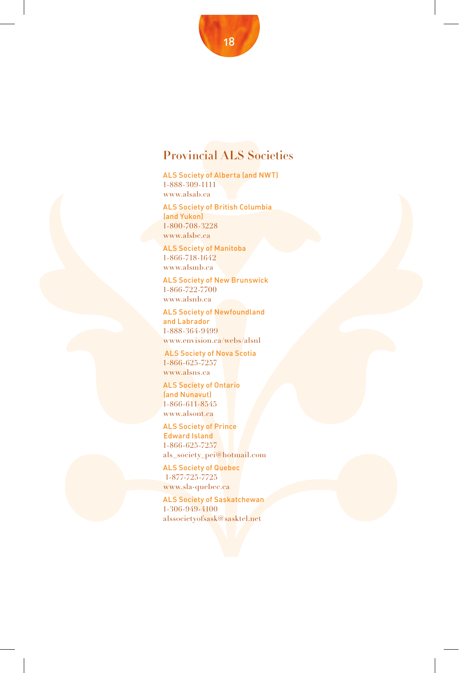### Provincial ALS Societies

ALS Society of Alberta (and NWT) 1-888-309-1111 www.alsab.ca

ALS Society of British Columbia (and Yukon) 1-800-708-3228 www.alsbc.ca

ALS Society of Manitoba 1-866-718-1642 www.alsmb.ca

ALS Society of New Brunswick 1-866-722-7700 www.alsnb.ca

ALS Society of Newfoundland and Labrador 1-888-364-9499 www.envision.ca/webs/alsnl

 ALS Society of Nova Scotia 1-866-625-7257 www.alsns.ca

ALS Society of Ontario (and Nunavut) 1-866-611-8545 www.alsont.ca

1 son OS 82228<br>
MAS Society of Manitoha<br>
MAS Society of New Brunswick<br>
MAS Society of New Brunswick<br>
1 soft 22 2700<br>
www.alsaluc.ne<br>
1 soft 222700<br>
MAS Society of New Brunswick<br>
1 soft 2275700<br>
MAS Society of New Brunswic ALS Society of Prince Edward Island 1-866-625-7257 als\_society\_pei@hotmail.com

ALS Society of Quebec 1-877-725-7725 www.sla-quebec.ca

ALS Society of Saskatchewan 1-306-949-4100 alssocietyofsask@sasktel.net